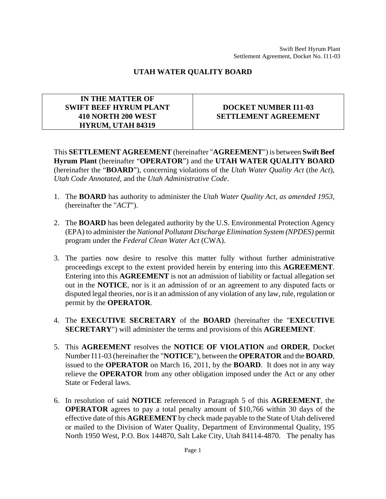## **UTAH WATER QUALITY BOARD**

## **IN THE MATTER OF SWIFT BEEF HYRUM PLANT 410 NORTH 200 WEST HYRUM, UTAH 84319**

## **DOCKET NUMBER I11-03 SETTLEMENT AGREEMENT**

This **SETTLEMENT AGREEMENT** (hereinafter "**AGREEMENT**") is between **Swift Beef Hyrum Plant** (hereinafter "**OPERATOR**") and the **UTAH WATER QUALITY BOARD** (hereinafter the "**BOARD**"), concerning violations of the *Utah Water Quality Act* (the *Act*), *Utah Code Annotated*, and the *Utah Administrative Code*.

- 1. The **BOARD** has authority to administer the *Utah Water Quality Act, as amended 1953*, (hereinafter the "*ACT*").
- 2. The **BOARD** has been delegated authority by the U.S. Environmental Protection Agency (EPA) to administer the *National Pollutant Discharge Elimination System (NPDES)* permit program under the *Federal Clean Water Act* (CWA).
- 3. The parties now desire to resolve this matter fully without further administrative proceedings except to the extent provided herein by entering into this **AGREEMENT**. Entering into this **AGREEMENT** is not an admission of liability or factual allegation set out in the **NOTICE**, nor is it an admission of or an agreement to any disputed facts or disputed legal theories, nor is it an admission of any violation of any law, rule, regulation or permit by the **OPERATOR**.
- 4. The **EXECUTIVE SECRETARY** of the **BOARD** (hereinafter the "**EXECUTIVE SECRETARY**") will administer the terms and provisions of this **AGREEMENT**.
- 5. This **AGREEMENT** resolves the **NOTICE OF VIOLATION** and **ORDER**, Docket Number I11-03 (hereinafter the "**NOTICE**"), between the **OPERATOR** and the **BOARD**, issued to the **OPERATOR** on March 16, 2011, by the **BOARD**. It does not in any way relieve the **OPERATOR** from any other obligation imposed under the Act or any other State or Federal laws.
- 6. In resolution of said **NOTICE** referenced in Paragraph 5 of this **AGREEMENT**, the **OPERATOR** agrees to pay a total penalty amount of \$10,766 within 30 days of the effective date of this **AGREEMENT** by check made payable to the State of Utah delivered or mailed to the Division of Water Quality, Department of Environmental Quality, 195 North 1950 West, P.O. Box 144870, Salt Lake City, Utah 84114-4870. The penalty has